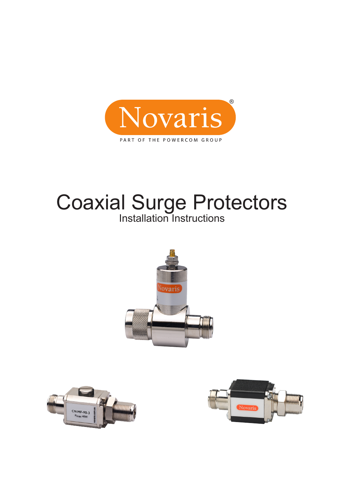

# Installation Instructions Coaxial Surge Protectors





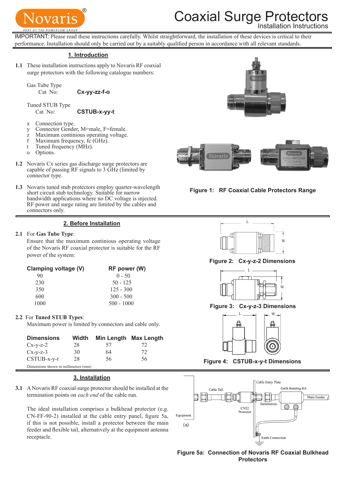

# **Coaxial Surge Protect**

Installation Instructions

IMPORTANT: Please read these instructions carefully. Whilst straightforward, the installation of these devices is critical to their performance. Installation should only be carried out by a suitably qualified person in accordance with all relevant standards.

#### **1. Introduction**

**1.1** These installation instructions apply to Novaris RF coaxial surge protectors with the following catalogue numbers:

Gas Tube Type

Cat No: **Cx-yy-zz-f-o**

Tuned STUB Type

Cat No: **CSTUB-x-yy-t**

- x Connection type.
- y Connector Gender, M=male, F=female.
- z Maximum continious operating voltage.
- f Maximum frequency, fc (GHz).
- t Tuned frequency (MHz).
- o Options.
- **1.2** Novaris Cx series gas discharge surge protectors are capable of passing RF signals to 3 GHz (limited by connector type.
- **1.3** Novaris tuned stub protectors employ quarter-wavelength short circuit stub technology. Suitable for narrow bandwidth applications where no DC voltage is injected. RF power and surge rating are limited by the cables and connectors only.

## **2. Before Installation**

### **2.1**  For **Gas Tube Type**:

Ensure that the maximum continious operating voltage of the Novaris RF coaxial protector is suitable for the RF power of the system:

| Clamping voltage (V) | RF power (W) |
|----------------------|--------------|
| 90                   | $0 - 50$     |
| 230                  | $50 - 125$   |
| 350                  | $125 - 300$  |
| 600                  | $300 - 500$  |
| 1000                 | $500 - 1000$ |

## **2.2** For **Tuned STUB Types**:

Maximum power is limited by connectors and cable only.

| <b>Dimensions</b>                    | Width |    | Min Length Max Length |
|--------------------------------------|-------|----|-----------------------|
| $Cx-y-z-2$                           | 28    | 57 | 72                    |
| $Cx-v-z-3$                           | 30    | 64 | 72                    |
| $CSTUB$ -x-y-t                       | 28    | 56 | 56                    |
| Dimensions shown in millimeters (mm) |       |    |                       |

## **3. Installation**

**3.1**  A Novaris RF coaxial surge protector should be installed at the termination points on *each end* of the cable run.

The ideal installation comprises a bulkhead protector (e.g. CN-FF-90-2) installed at the cable entry panel, figure 5a, if this is not possible, install a protector between the main feeder and flexible tail, alternatively at the equipment antenna receptacle.





**Figure 1: RF Coaxial Cable Protectors Range**



**Figure 2: Cx-y-z-2 Dimensions**



**Figure 3: Cx-y-z-3 Dimensions**



**Figure 4: CSTUB-x-y-t Dimensions**



**Figure 5a: Connection of Novaris RF Coaxial Bulkhead Protectors**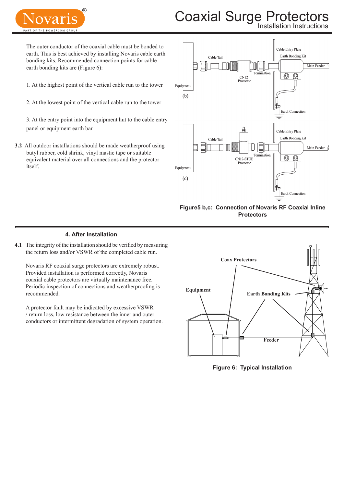

# Coaxial Surge Protectors

Installation Instructions

The outer conductor of the coaxial cable must be bonded to earth. This is best achieved by installing Novaris cable earth bonding kits. Recommended connection points for cable earth bonding kits are (Figure 6):

1. At the highest point of the vertical cable run to the tower

2. At the lowest point of the vertical cable run to the tower

3. At the entry point into the equipment hut to the cable entry panel or equipment earth bar

**3.2** All outdoor installations should be made weatherproof using butyl rubber, cold shrink, vinyl mastic tape or suitable equivalent material over all connections and the protector itself.



**Figure5 b,c: Connection of Novaris RF Coaxial Inline Protectors**

### **4. After Installation**

**4.1** The integrity of the installation should be verified by measuring the return loss and/or VSWR of the completed cable run.

Novaris RF coaxial surge protectors are extremely robust. Provided installation is performed correctly, Novaris coaxial cable protectors are virtually maintenance free. Periodic inspection of connections and weatherproofing is recommended.

A protector fault may be indicated by excessive VSWR / return loss, low resistance between the inner and outer conductors or intermittent degradation of system operation.



**Figure 6: Typical Installation**